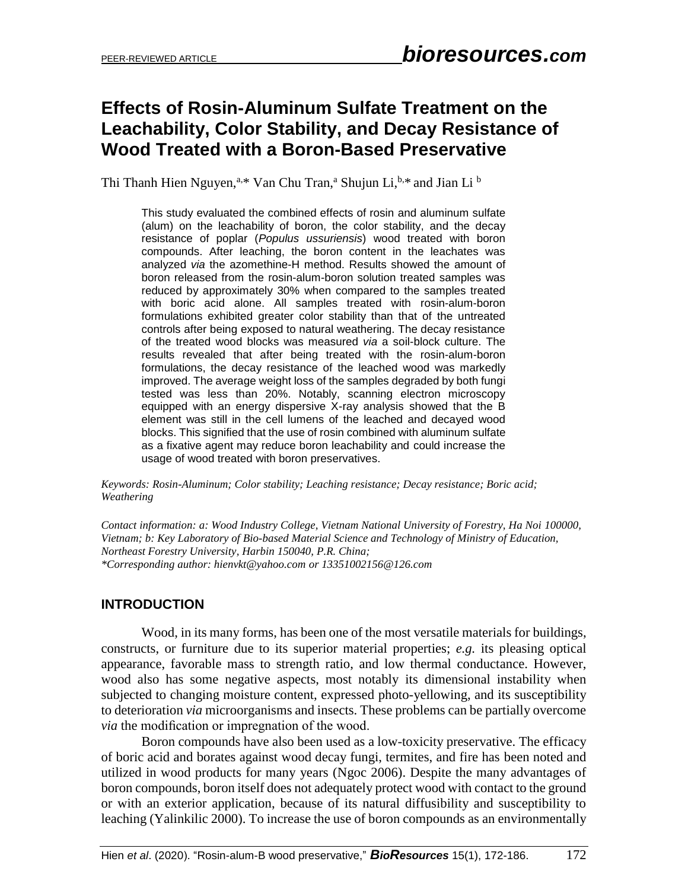# **Effects of Rosin-Aluminum Sulfate Treatment on the Leachability, Color Stability, and Decay Resistance of Wood Treated with a Boron-Based Preservative**

Thi Thanh Hien Nguyen,<sup>a,\*</sup> Van Chu Tran,<sup>a</sup> Shujun Li,<sup>b,\*</sup> and Jian Li<sup>b</sup>

This study evaluated the combined effects of rosin and aluminum sulfate (alum) on the leachability of boron, the color stability, and the decay resistance of poplar (*Populus ussuriensis*) wood treated with boron compounds. After leaching, the boron content in the leachates was analyzed *via* the azomethine-H method. Results showed the amount of boron released from the rosin-alum-boron solution treated samples was reduced by approximately 30% when compared to the samples treated with boric acid alone. All samples treated with rosin-alum-boron formulations exhibited greater color stability than that of the untreated controls after being exposed to natural weathering. The decay resistance of the treated wood blocks was measured *via* a soil-block culture. The results revealed that after being treated with the rosin-alum-boron formulations, the decay resistance of the leached wood was markedly improved. The average weight loss of the samples degraded by both fungi tested was less than 20%. Notably, scanning electron microscopy equipped with an energy dispersive X-ray analysis showed that the B element was still in the cell lumens of the leached and decayed wood blocks. This signified that the use of rosin combined with aluminum sulfate as a fixative agent may reduce boron leachability and could increase the usage of wood treated with boron preservatives.

*Keywords: Rosin-Aluminum; Color stability; Leaching resistance; Decay resistance; Boric acid; Weathering*

*Contact information: a: Wood Industry College, Vietnam National University of Forestry, Ha Noi 100000, Vietnam; b: Key Laboratory of Bio-based Material Science and Technology of Ministry of Education, Northeast Forestry University, Harbin 150040, P.R. China; \*Corresponding author: hienvkt@yahoo.com or 13351002156@126.com*

## **INTRODUCTION**

Wood, in its many forms, has been one of the most versatile materials for buildings, constructs, or furniture due to its superior material properties; *e.g.* its pleasing optical appearance, favorable mass to strength ratio, and low thermal conductance. However, wood also has some negative aspects, most notably its dimensional instability when subjected to changing moisture content, expressed photo-yellowing, and its susceptibility to deterioration *via* microorganisms and insects. These problems can be partially overcome *via* the modification or impregnation of the wood.

Boron compounds have also been used as a low-toxicity preservative. The efficacy of boric acid and borates against wood decay fungi, termites, and fire has been noted and utilized in wood products for many years (Ngoc 2006). Despite the many advantages of boron compounds, boron itself does not adequately protect wood with contact to the ground or with an exterior application, because of its natural diffusibility and susceptibility to leaching (Yalinkilic 2000). To increase the use of boron compounds as an environmentally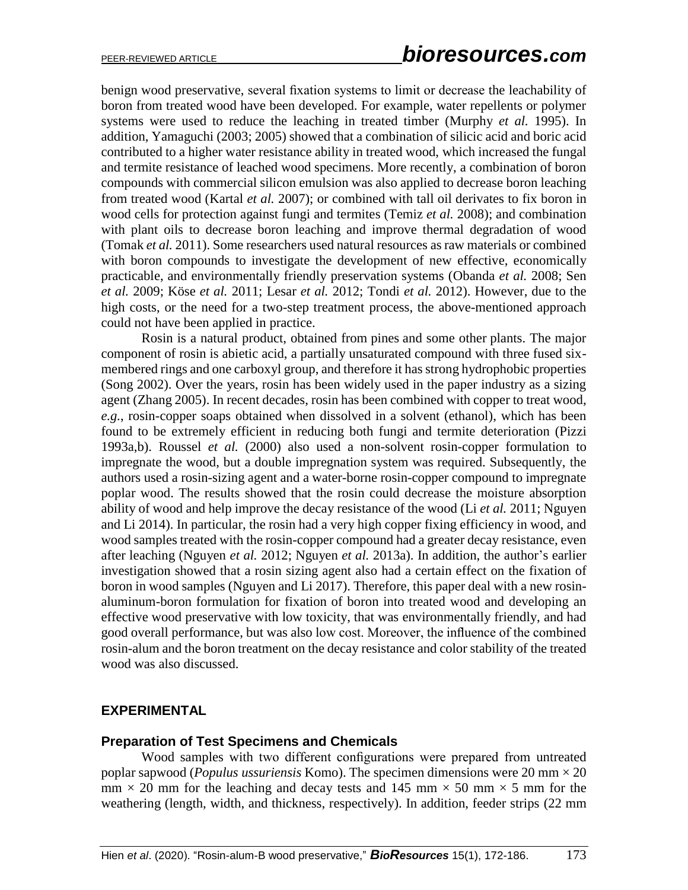benign wood preservative, several fixation systems to limit or decrease the leachability of boron from treated wood have been developed. For example, water repellents or polymer systems were used to reduce the leaching in treated timber (Murphy *et al.* 1995). In addition, Yamaguchi (2003; 2005) showed that a combination of silicic acid and boric acid contributed to a higher water resistance ability in treated wood, which increased the fungal and termite resistance of leached wood specimens. More recently, a combination of boron compounds with commercial silicon emulsion was also applied to decrease boron leaching from treated wood (Kartal *et al.* 2007); or combined with tall oil derivates to fix boron in wood cells for protection against fungi and termites (Temiz *et al.* 2008); and combination with plant oils to decrease boron leaching and improve thermal degradation of wood (Tomak *et al.* 2011). Some researchers used natural resources as raw materials or combined with boron compounds to investigate the development of new effective, economically practicable, and environmentally friendly preservation systems (Obanda *et al.* 2008; Sen *et al.* 2009; Köse *et al.* 2011; Lesar *et al.* 2012; Tondi *et al.* 2012). However, due to the high costs, or the need for a two-step treatment process, the above-mentioned approach could not have been applied in practice.

Rosin is a natural product, obtained from pines and some other plants. The major component of rosin is abietic acid, a partially unsaturated compound with three fused sixmembered rings and one carboxyl group, and therefore it has strong hydrophobic properties (Song 2002). Over the years, rosin has been widely used in the paper industry as a sizing agent (Zhang 2005). In recent decades, rosin has been combined with copper to treat wood, *e.g.*, rosin-copper soaps obtained when dissolved in a solvent (ethanol), which has been found to be extremely efficient in reducing both fungi and termite deterioration (Pizzi 1993a,b). Roussel *et al.* (2000) also used a non-solvent rosin-copper formulation to impregnate the wood, but a double impregnation system was required. Subsequently, the authors used a rosin-sizing agent and a water-borne rosin-copper compound to impregnate poplar wood. The results showed that the rosin could decrease the moisture absorption ability of wood and help improve the decay resistance of the wood (Li *et al.* 2011; Nguyen and Li 2014). In particular, the rosin had a very high copper fixing efficiency in wood, and wood samples treated with the rosin-copper compound had a greater decay resistance, even after leaching (Nguyen *et al.* 2012; Nguyen *et al.* 2013a). In addition, the author's earlier investigation showed that a rosin sizing agent also had a certain effect on the fixation of boron in wood samples (Nguyen and Li 2017). Therefore, this paper deal with a new rosinaluminum-boron formulation for fixation of boron into treated wood and developing an effective wood preservative with low toxicity, that was environmentally friendly, and had good overall performance, but was also low cost. Moreover, the influence of the combined rosin-alum and the boron treatment on the decay resistance and color stability of the treated wood was also discussed.

#### **EXPERIMENTAL**

#### **Preparation of Test Specimens and Chemicals**

Wood samples with two different configurations were prepared from untreated poplar sapwood (*Populus ussuriensis* Komo). The specimen dimensions were 20 mm × 20  $mm \times 20$  mm for the leaching and decay tests and 145 mm  $\times$  50 mm  $\times$  5 mm for the weathering (length, width, and thickness, respectively). In addition, feeder strips (22 mm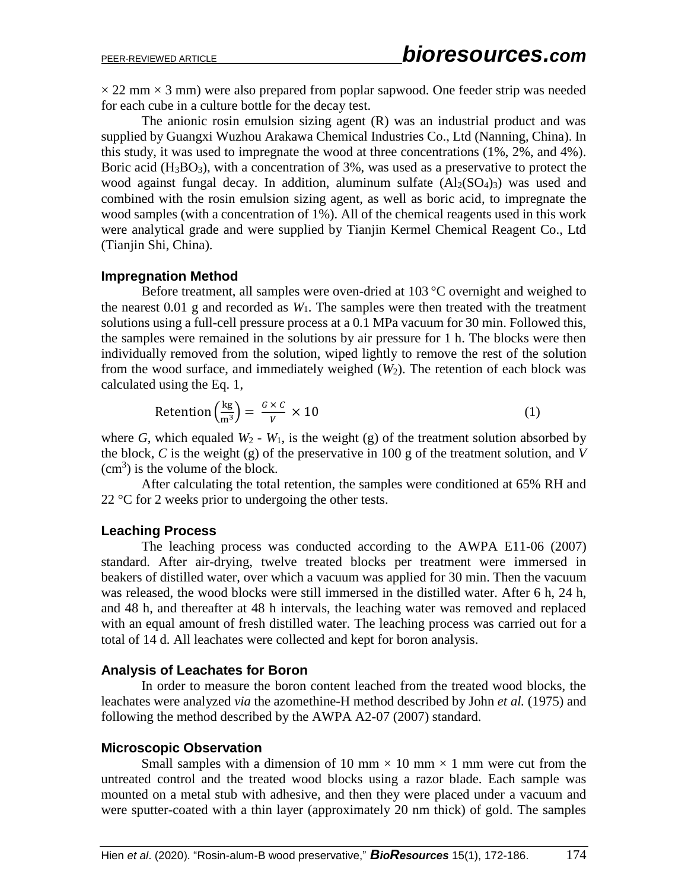$\times$  22 mm  $\times$  3 mm) were also prepared from poplar sapwood. One feeder strip was needed for each cube in a culture bottle for the decay test.

The anionic rosin emulsion sizing agent (R) was an industrial product and was supplied by Guangxi Wuzhou Arakawa Chemical Industries Co., Ltd (Nanning, China). In this study, it was used to impregnate the wood at three concentrations (1%, 2%, and 4%). Boric acid  $(H_3BO_3)$ , with a concentration of 3%, was used as a preservative to protect the wood against fungal decay. In addition, aluminum sulfate  $(A1_2(SO_4)_{3})$  was used and combined with the rosin emulsion sizing agent, as well as boric acid, to impregnate the wood samples (with a concentration of 1%). All of the chemical reagents used in this work were analytical grade and were supplied by Tianjin Kermel Chemical Reagent Co., Ltd (Tianjin Shi, China).

#### **Impregnation Method**

Before treatment, all samples were oven-dried at 103 °C overnight and weighed to the nearest  $0.01$  g and recorded as  $W_1$ . The samples were then treated with the treatment solutions using a full-cell pressure process at a 0.1 MPa vacuum for 30 min. Followed this, the samples were remained in the solutions by air pressure for 1 h. The blocks were then individually removed from the solution, wiped lightly to remove the rest of the solution from the wood surface, and immediately weighed  $(W_2)$ . The retention of each block was calculated using the Eq. 1,

$$
Retention\left(\frac{kg}{m^3}\right) = \frac{G \times C}{V} \times 10\tag{1}
$$

where *G*, which equaled  $W_2$  -  $W_1$ , is the weight (g) of the treatment solution absorbed by the block, *C* is the weight (g) of the preservative in 100 g of the treatment solution, and *V*  $(cm<sup>3</sup>)$  is the volume of the block.

After calculating the total retention, the samples were conditioned at 65% RH and 22 °C for 2 weeks prior to undergoing the other tests.

#### **Leaching Process**

The leaching process was conducted according to the AWPA E11-06 (2007) standard. After air-drying, twelve treated blocks per treatment were immersed in beakers of distilled water, over which a vacuum was applied for 30 min. Then the vacuum was released, the wood blocks were still immersed in the distilled water. After 6 h, 24 h, and 48 h, and thereafter at 48 h intervals, the leaching water was removed and replaced with an equal amount of fresh distilled water. The leaching process was carried out for a total of 14 d. All leachates were collected and kept for boron analysis.

#### **Analysis of Leachates for Boron**

In order to measure the boron content leached from the treated wood blocks, the leachates were analyzed *via* the azomethine-H method described by John *et al.* (1975) and following the method described by the AWPA A2-07 (2007) standard.

#### **Microscopic Observation**

Small samples with a dimension of 10 mm  $\times$  10 mm  $\times$  1 mm were cut from the untreated control and the treated wood blocks using a razor blade. Each sample was mounted on a metal stub with adhesive, and then they were placed under a vacuum and were sputter-coated with a thin layer (approximately 20 nm thick) of gold. The samples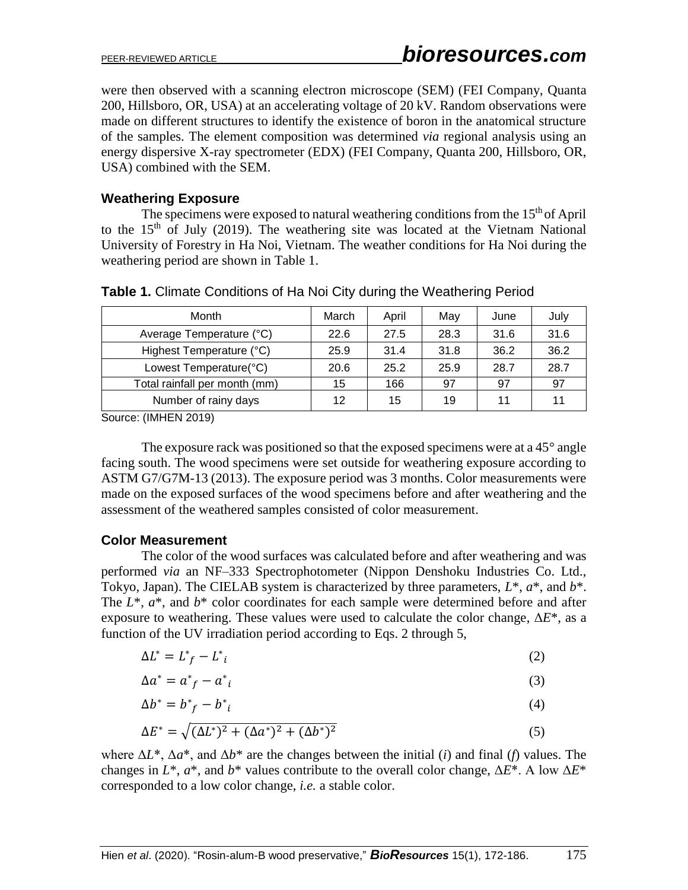were then observed with a scanning electron microscope (SEM) (FEI Company, Quanta 200, Hillsboro, OR, USA) at an accelerating voltage of 20 kV. Random observations were made on different structures to identify the existence of boron in the anatomical structure of the samples. The element composition was determined *via* regional analysis using an energy dispersive X-ray spectrometer (EDX) (FEI Company, Quanta 200, Hillsboro, OR, USA) combined with the SEM.

#### **Weathering Exposure**

The specimens were exposed to natural weathering conditions from the 15<sup>th</sup> of April to the  $15<sup>th</sup>$  of July (2019). The weathering site was located at the Vietnam National University of Forestry in Ha Noi, Vietnam. The weather conditions for Ha Noi during the weathering period are shown in Table 1.

| Month                         | March | April | May  | June | July |
|-------------------------------|-------|-------|------|------|------|
| Average Temperature (°C)      | 22.6  | 27.5  | 28.3 | 31.6 | 31.6 |
| Highest Temperature (°C)      | 25.9  | 31.4  | 31.8 | 36.2 | 36.2 |
| Lowest Temperature(°C)        | 20.6  | 25.2  | 25.9 | 28.7 | 28.7 |
| Total rainfall per month (mm) | 15    | 166   | 97   | 97   | 97   |
| Number of rainy days          | 12    | 15    | 19   | 11   | 11   |

Source: (IMHEN 2019)

The exposure rack was positioned so that the exposed specimens were at a  $45^{\circ}$  angle facing south. The wood specimens were set outside for weathering exposure according to ASTM G7/G7M-13 (2013). The exposure period was 3 months. Color measurements were made on the exposed surfaces of the wood specimens before and after weathering and the assessment of the weathered samples consisted of color measurement.

#### **Color Measurement**

The color of the wood surfaces was calculated before and after weathering and was performed *via* an NF–333 Spectrophotometer (Nippon Denshoku Industries Co. Ltd., Tokyo, Japan). The CIELAB system is characterized by three parameters, *L*\*, *a*\*, and *b*\*. The *L*\*, *a*\*, and *b*\* color coordinates for each sample were determined before and after exposure to weathering. These values were used to calculate the color change, Δ*E*\*, as a function of the UV irradiation period according to Eqs. 2 through 5,

$$
\Delta L^* = L^* - L^* \tag{2}
$$

$$
\Delta a^* = a^*_{f} - a^*_{i} \tag{3}
$$

$$
\Delta b^* = b^*_{f} - b^*_{i} \tag{4}
$$

$$
\Delta E^* = \sqrt{(\Delta L^*)^2 + (\Delta a^*)^2 + (\Delta b^*)^2}
$$
 (5)

where  $\Delta L^*$ ,  $\Delta a^*$ , and  $\Delta b^*$  are the changes between the initial (*i*) and final (*f*) values. The changes in *L*\*, *a*\*, and *b*\* values contribute to the overall color change, Δ*E*\*. A low Δ*E*\* corresponded to a low color change, *i.e.* a stable color.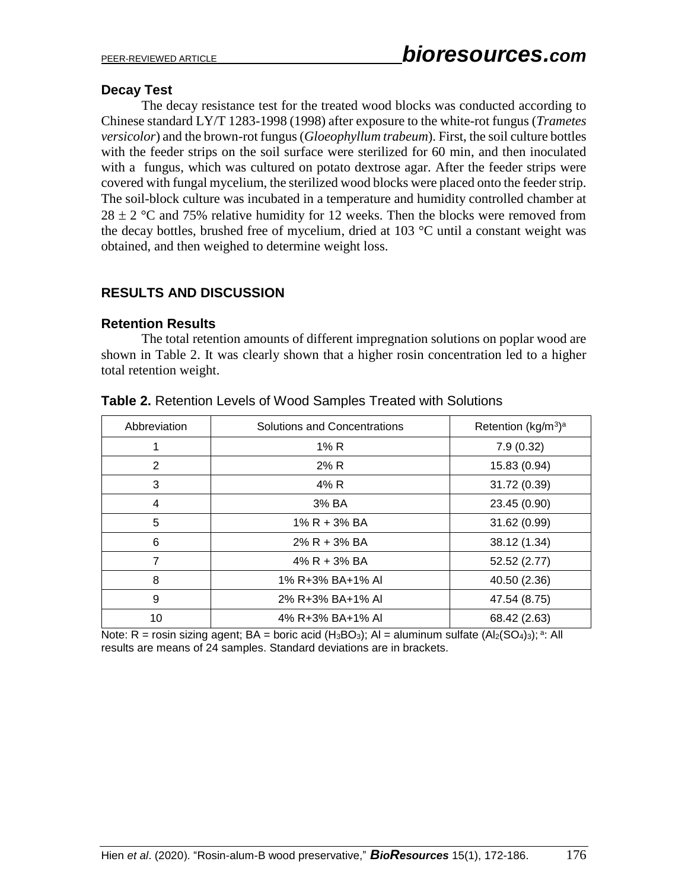#### **Decay Test**

The decay resistance test for the treated wood blocks was conducted according to Chinese standard LY/T 1283-1998 (1998) after exposure to the white-rot fungus (*Trametes versicolor*) and the brown-rot fungus(*Gloeophyllum trabeum*). First, the soil culture bottles with the feeder strips on the soil surface were sterilized for 60 min, and then inoculated with a fungus, which was cultured on potato dextrose agar. After the feeder strips were covered with fungal mycelium, the sterilized wood blocks were placed onto the feeder strip. The soil-block culture was incubated in a temperature and humidity controlled chamber at  $28 \pm 2$  °C and 75% relative humidity for 12 weeks. Then the blocks were removed from the decay bottles, brushed free of mycelium, dried at 103 °C until a constant weight was obtained, and then weighed to determine weight loss.

## **RESULTS AND DISCUSSION**

#### **Retention Results**

The total retention amounts of different impregnation solutions on poplar wood are shown in Table 2. It was clearly shown that a higher rosin concentration led to a higher total retention weight.

| Abbreviation | Solutions and Concentrations | Retention (kg/m <sup>3</sup> ) <sup>a</sup> |  |
|--------------|------------------------------|---------------------------------------------|--|
| 1            | 1% R                         | 7.9(0.32)                                   |  |
| 2            | 2% R                         | 15.83 (0.94)                                |  |
| 3            | 4% R                         | 31.72 (0.39)                                |  |
| 4            | 3% BA                        | 23.45 (0.90)                                |  |
| 5            | $1\%$ R + 3% BA              | 31.62 (0.99)                                |  |
| 6            | $2\%$ R + 3% BA              | 38.12 (1.34)                                |  |
| 7            | $4\%$ R + 3% BA              | 52.52 (2.77)                                |  |
| 8            | 1% R+3% BA+1% AI             | 40.50 (2.36)                                |  |
| 9            | 2% R+3% BA+1% AI             | 47.54 (8.75)                                |  |
| 10           | 4% R+3% BA+1% AI             | 68.42 (2.63)                                |  |

#### **Table 2.** Retention Levels of Wood Samples Treated with Solutions

Note: R = rosin sizing agent;  $BA =$  boric acid (H<sub>3</sub>BO<sub>3</sub>); Al = aluminum sulfate (Al<sub>2</sub>(SO<sub>4</sub>)<sub>3</sub>); <sup>a</sup>: All results are means of 24 samples. Standard deviations are in brackets.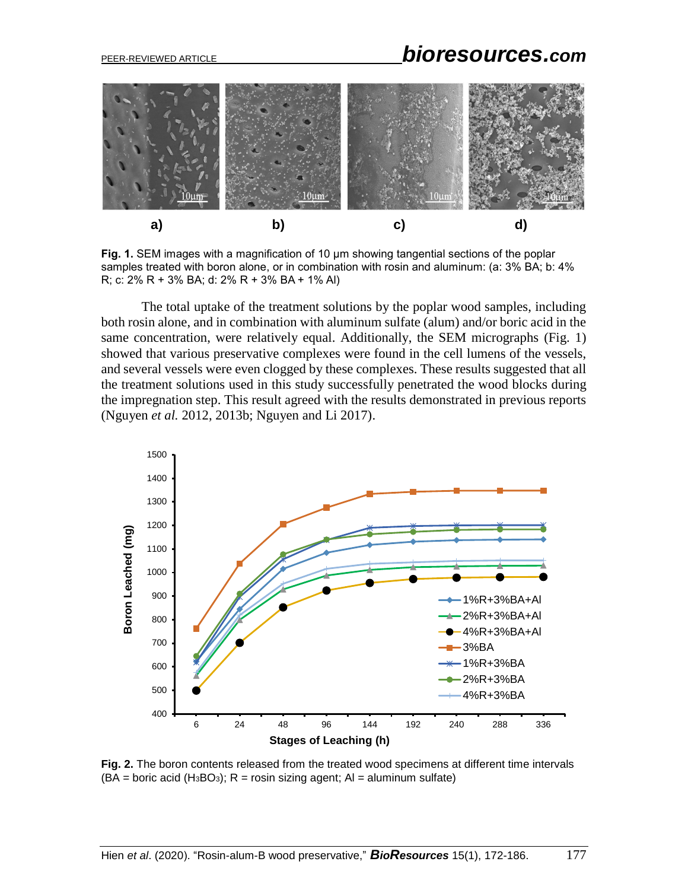# PEER-REVIEWED ARTICLE *bioresources.com*



**Fig. 1.** SEM images with a magnification of 10 μm showing tangential sections of the poplar samples treated with boron alone, or in combination with rosin and aluminum: (a: 3% BA; b: 4% R; c: 2% R + 3% BA; d: 2% R + 3% BA + 1% Al)

The total uptake of the treatment solutions by the poplar wood samples, including both rosin alone, and in combination with aluminum sulfate (alum) and/or boric acid in the same concentration, were relatively equal. Additionally, the SEM micrographs (Fig. 1) showed that various preservative complexes were found in the cell lumens of the vessels, and several vessels were even clogged by these complexes. These results suggested that all the treatment solutions used in this study successfully penetrated the wood blocks during the impregnation step. This result agreed with the results demonstrated in previous reports (Nguyen *et al.* 2012, 2013b; Nguyen and Li 2017).



**Fig. 2.** The boron contents released from the treated wood specimens at different time intervals  $(BA = 60$  acid  $(H_3BO_3)$ ; R = rosin sizing agent; AI = aluminum sulfate)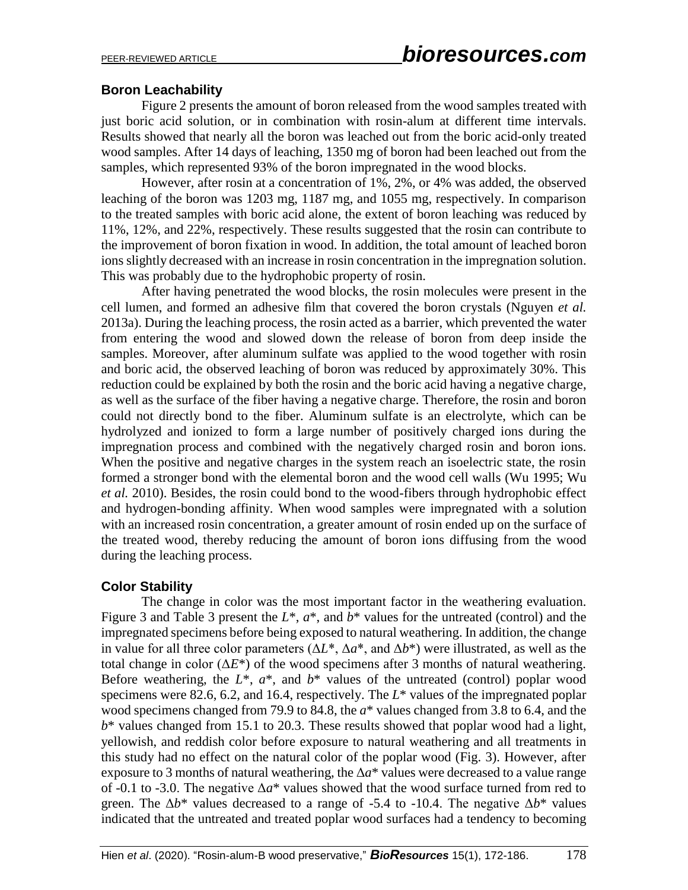#### **Boron Leachability**

Figure 2 presents the amount of boron released from the wood samples treated with just boric acid solution, or in combination with rosin-alum at different time intervals. Results showed that nearly all the boron was leached out from the boric acid-only treated wood samples. After 14 days of leaching, 1350 mg of boron had been leached out from the samples, which represented 93% of the boron impregnated in the wood blocks.

However, after rosin at a concentration of 1%, 2%, or 4% was added, the observed leaching of the boron was 1203 mg, 1187 mg, and 1055 mg, respectively. In comparison to the treated samples with boric acid alone, the extent of boron leaching was reduced by 11%, 12%, and 22%, respectively. These results suggested that the rosin can contribute to the improvement of boron fixation in wood. In addition, the total amount of leached boron ions slightly decreased with an increase in rosin concentration in the impregnation solution. This was probably due to the hydrophobic property of rosin.

After having penetrated the wood blocks, the rosin molecules were present in the cell lumen, and formed an adhesive film that covered the boron crystals (Nguyen *et al.* 2013a). During the leaching process, the rosin acted as a barrier, which prevented the water from entering the wood and slowed down the release of boron from deep inside the samples. Moreover, after aluminum sulfate was applied to the wood together with rosin and boric acid, the observed leaching of boron was reduced by approximately 30%. This reduction could be explained by both the rosin and the boric acid having a negative charge, as well as the surface of the fiber having a negative charge. Therefore, the rosin and boron could not directly bond to the fiber. Aluminum sulfate is an electrolyte, which can be hydrolyzed and ionized to form a large number of positively charged ions during the impregnation process and combined with the negatively charged rosin and boron ions. When the positive and negative charges in the system reach an isoelectric state, the rosin formed a stronger bond with the elemental boron and the wood cell walls (Wu 1995; Wu *et al.* 2010). Besides, the rosin could bond to the wood-fibers through hydrophobic effect and hydrogen-bonding affinity. When wood samples were impregnated with a solution with an increased rosin concentration, a greater amount of rosin ended up on the surface of the treated wood, thereby reducing the amount of boron ions diffusing from the wood during the leaching process.

## **Color Stability**

The change in color was the most important factor in the weathering evaluation. Figure 3 and Table 3 present the *L*\*, *a*\*, and *b*\* values for the untreated (control) and the impregnated specimens before being exposed to natural weathering. In addition, the change in value for all three color parameters  $(\Delta L^*, \Delta a^*,$  and  $\Delta b^*)$  were illustrated, as well as the total change in color  $(\Delta E^*)$  of the wood specimens after 3 months of natural weathering. Before weathering, the  $L^*$ ,  $a^*$ , and  $b^*$  values of the untreated (control) poplar wood specimens were 82.6, 6.2, and 16.4, respectively. The *L*\* values of the impregnated poplar wood specimens changed from 79.9 to 84.8, the *a*\* values changed from 3.8 to 6.4, and the *b*\* values changed from 15.1 to 20.3. These results showed that poplar wood had a light, yellowish, and reddish color before exposure to natural weathering and all treatments in this study had no effect on the natural color of the poplar wood (Fig. 3). However, after exposure to 3 months of natural weathering, the Δ*a*\* values were decreased to a value range of -0.1 to -3.0. The negative  $\Delta a^*$  values showed that the wood surface turned from red to green. The  $\Delta b^*$  values decreased to a range of -5.4 to -10.4. The negative  $\Delta b^*$  values indicated that the untreated and treated poplar wood surfaces had a tendency to becoming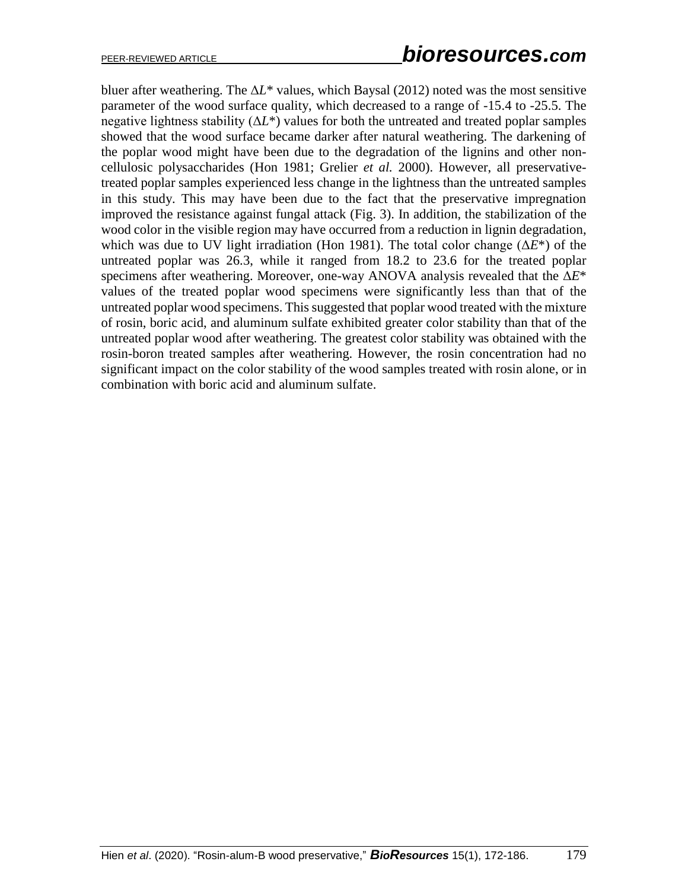bluer after weathering. The Δ*L*\* values, which Baysal (2012) noted was the most sensitive parameter of the wood surface quality, which decreased to a range of -15.4 to -25.5. The negative lightness stability  $(\Delta L^*)$  values for both the untreated and treated poplar samples showed that the wood surface became darker after natural weathering. The darkening of the poplar wood might have been due to the degradation of the lignins and other noncellulosic polysaccharides (Hon 1981; Grelier *et al.* 2000). However, all preservativetreated poplar samples experienced less change in the lightness than the untreated samples in this study. This may have been due to the fact that the preservative impregnation improved the resistance against fungal attack (Fig. 3). In addition, the stabilization of the wood color in the visible region may have occurred from a reduction in lignin degradation, which was due to UV light irradiation (Hon 1981). The total color change  $(\Delta E^*)$  of the untreated poplar was 26.3, while it ranged from 18.2 to 23.6 for the treated poplar specimens after weathering. Moreover, one-way ANOVA analysis revealed that the Δ*E*\* values of the treated poplar wood specimens were significantly less than that of the untreated poplar wood specimens. This suggested that poplar wood treated with the mixture of rosin, boric acid, and aluminum sulfate exhibited greater color stability than that of the untreated poplar wood after weathering. The greatest color stability was obtained with the rosin-boron treated samples after weathering. However, the rosin concentration had no significant impact on the color stability of the wood samples treated with rosin alone, or in combination with boric acid and aluminum sulfate.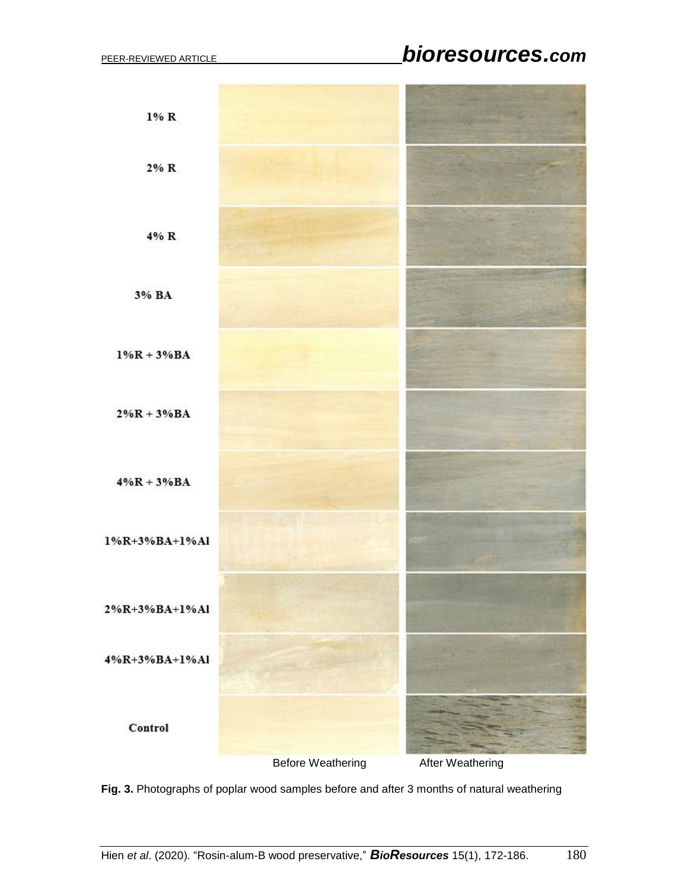# PEER-REVIEWED ARTICLE *bioresources.com*



**Fig. 3.** Photographs of poplar wood samples before and after 3 months of natural weathering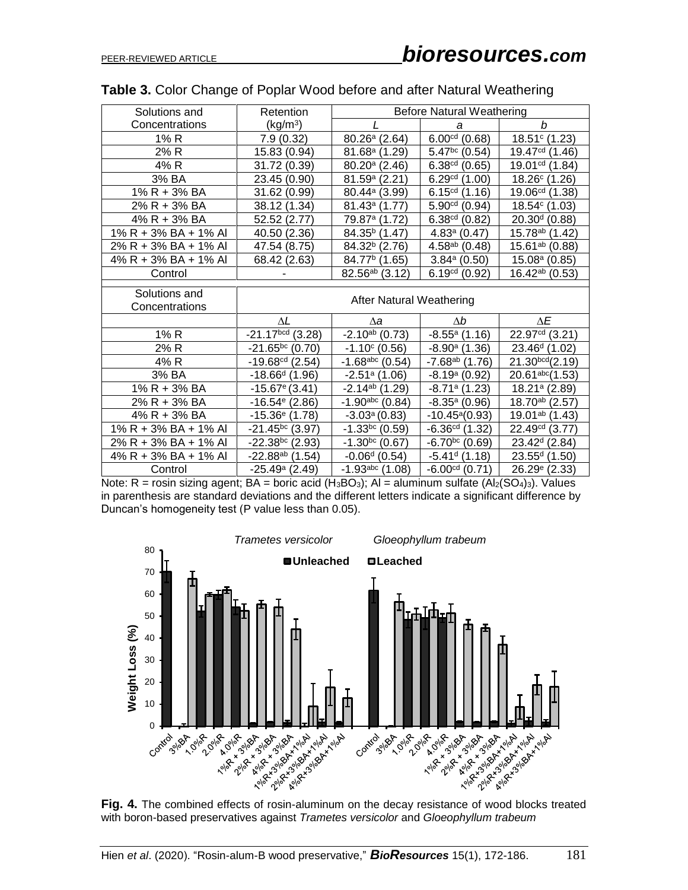| Solutions and                   | Retention                       | <b>Before Natural Weathering</b> |                        |                             |  |  |
|---------------------------------|---------------------------------|----------------------------------|------------------------|-----------------------------|--|--|
| Concentrations                  | (kg/m <sup>3</sup> )            |                                  | a                      | b                           |  |  |
| 1% R                            | 7.9(0.32)                       | $80.26^a$ (2.64)                 | $6.00cd$ (0.68)        | $18.51^{\circ}$ (1.23)      |  |  |
| 2% R                            | 15.83 (0.94)                    | $81.68a$ (1.29)                  | $5.47^{bc}$ (0.54)     | 19.47 <sup>cd</sup> (1.46)  |  |  |
| 4% R                            | 31.72 (0.39)                    | $80.20^{\circ}$ (2.46)           | $6.38cd$ (0.65)        | $19.01cd$ (1.84)            |  |  |
| 3% BA                           | 23.45 (0.90)                    | 81.59a(2.21)                     | $6.29cd$ (1.00)        | $18.26^{\circ}$ (1.26)      |  |  |
| 1% R + 3% BA                    | 31.62 (0.99)                    | 80.44 <sup>a</sup> (3.99)        | $6.15cd$ (1.16)        | $19.06cd$ (1.38)            |  |  |
| 2% R + 3% BA                    | 38.12 (1.34)                    | 81.43 <sup>a</sup> (1.77)        | $5.90cd$ (0.94)        | $18.54^{\circ}$ (1.03)      |  |  |
| 4% R + 3% BA                    | 52.52 (2.77)                    | 79.87 <sup>a</sup> (1.72)        | $6.38cd$ (0.82)        | $20.30d$ (0.88)             |  |  |
| 1% R + 3% BA + 1% Al            | 40.50 (2.36)                    | 84.35 <sup>b</sup> (1.47)        | $4.83a$ (0.47)         | 15.78 <sup>ab</sup> (1.42)  |  |  |
| 2% R + 3% BA + 1% Al            | 47.54 (8.75)                    | 84.32 <sup>b</sup> (2.76)        | $4.58^{ab}$ (0.48)     | 15.61 <sup>ab</sup> (0.88)  |  |  |
| 4% R + 3% BA + 1% Al            | 68.42 (2.63)                    | 84.77 <sup>b</sup> (1.65)        | $3.84a$ (0.50)         | $15.08a$ (0.85)             |  |  |
| Control                         |                                 | 82.56 <sup>ab</sup> (3.12)       | $6.19cd$ (0.92)        | $16.42^{ab}$ (0.53)         |  |  |
| Solutions and<br>Concentrations | <b>After Natural Weathering</b> |                                  |                        |                             |  |  |
|                                 | ΔL                              | $\Delta a$                       | $\Delta b$             | ΔE                          |  |  |
| 1% R                            | $-21.17bcd$ (3.28)              | $-2.10^{ab}$ (0.73)              | $-8.55^a$ (1.16)       | $22.97cd$ (3.21)            |  |  |
| 2% R                            | $-21.65^{bc}$ (0.70)            | $-1.10^{\circ}$ (0.56)           | $-8.90^{\circ}$ (1.36) | 23.46 <sup>d</sup> (1.02)   |  |  |
| 4% R                            | $-19.68cd$ (2.54)               | $-1.68$ abc (0.54)               | $-7.68^{ab}$ (1.76)    | 21.30 <sup>bcd</sup> (2.19) |  |  |
| 3% BA                           | $-18.66d$ (1.96)                | $-2.51a$ (1.06)                  | $-8.19a(0.92)$         | $20.61^{abc}(1.53)$         |  |  |
| 1% R + 3% BA                    | $-15.67$ <sup>e</sup> (3.41)    | $-2.14^{ab}$ (1.29)              | $-8.71a(1.23)$         | 18.21 <sup>a</sup> (2.89)   |  |  |
| 2% R + 3% BA                    | $-16.54$ <sup>e</sup> (2.86)    | $-1.90$ abc (0.84)               | $-8.35^{\circ}$ (0.96) | 18.70 <sup>ab</sup> (2.57)  |  |  |
| 4% R + 3% BA                    | $-15.36$ <sup>e</sup> (1.78)    | $-3.03a(0.83)$                   | $-10.45^{\circ}(0.93)$ | 19.01 <sup>ab</sup> (1.43)  |  |  |
| $1\%$ R + 3% BA + 1% Al         | $-21.45^{bc}$ (3.97)            | $-1.33bc$ (0.59)                 | $-6.36cd$ (1.32)       | $22.49cd$ (3.77)            |  |  |
| 2% R + 3% BA + 1% Al            | $-22.38^{bc}$ (2.93)            | $-1.30^{bc}$ (0.67)              | $-6.70^{bc}$ (0.69)    | 23.42 <sup>d</sup> (2.84)   |  |  |
| 4% R + 3% BA + 1% Al            | $-22.88^{ab}$ (1.54)            | $-0.06d$ (0.54)                  | $-5.41d$ (1.18)        | $23.55d$ (1.50)             |  |  |
| Control                         | $-25.49$ <sup>a</sup> (2.49)    | $-1.93abc$ (1.08)                | $-6.00cd$ (0.71)       | 26.29e(2.33)                |  |  |

#### **Table 3.** Color Change of Poplar Wood before and after Natural Weathering

Note:  $R =$  rosin sizing agent;  $BA =$  boric acid  $(H_3BO_3)$ ;  $Al =$  aluminum sulfate  $(AI_2(SO_4)_3)$ . Values in parenthesis are standard deviations and the different letters indicate a significant difference by Duncan's homogeneity test (P value less than 0.05).



with boron-based preservatives against *Trametes versicolor* and *Gloeophyllum trabeum*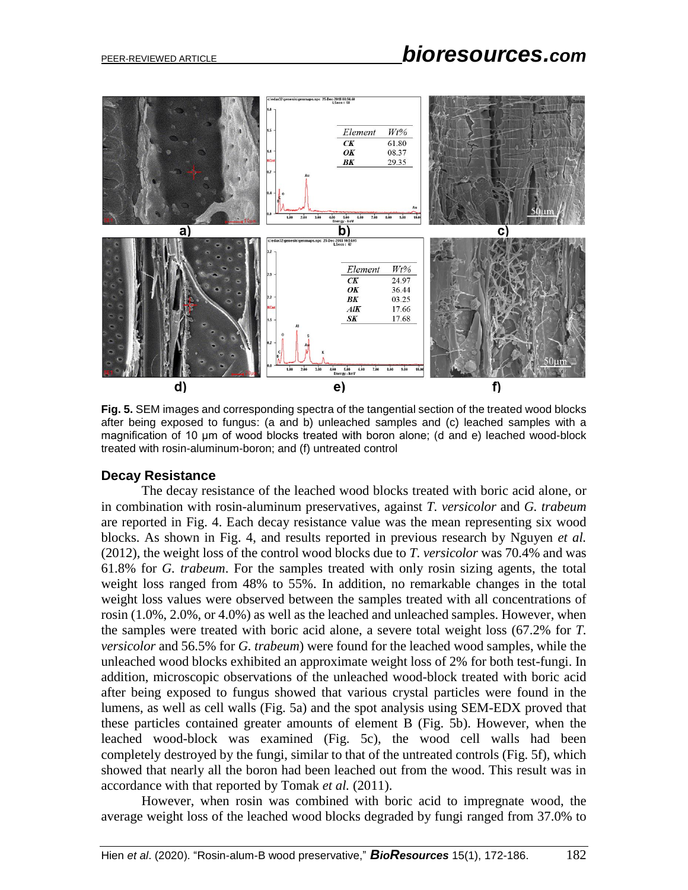

**Fig. 5.** SEM images and corresponding spectra of the tangential section of the treated wood blocks after being exposed to fungus: (a and b) unleached samples and (c) leached samples with a magnification of 10 μm of wood blocks treated with boron alone; (d and e) leached wood-block treated with rosin-aluminum-boron; and (f) untreated control

#### **Decay Resistance**

The decay resistance of the leached wood blocks treated with boric acid alone, or in combination with rosin-aluminum preservatives, against *T. versicolor* and *G. trabeum* are reported in Fig. 4. Each decay resistance value was the mean representing six wood blocks. As shown in Fig. 4, and results reported in previous research by Nguyen *et al.* (2012), the weight loss of the control wood blocks due to *T. versicolor* was 70.4% and was 61.8% for *G. trabeum*. For the samples treated with only rosin sizing agents, the total weight loss ranged from 48% to 55%. In addition, no remarkable changes in the total weight loss values were observed between the samples treated with all concentrations of rosin (1.0%, 2.0%, or 4.0%) as well as the leached and unleached samples. However, when the samples were treated with boric acid alone, a severe total weight loss (67.2% for *T. versicolor* and 56.5% for *G. trabeum*) were found for the leached wood samples, while the unleached wood blocks exhibited an approximate weight loss of 2% for both test-fungi. In addition, microscopic observations of the unleached wood-block treated with boric acid after being exposed to fungus showed that various crystal particles were found in the lumens, as well as cell walls (Fig. 5a) and the spot analysis using SEM-EDX proved that these particles contained greater amounts of element B (Fig. 5b). However, when the leached wood-block was examined (Fig. 5c), the wood cell walls had been completely destroyed by the fungi, similar to that of the untreated controls (Fig. 5f), which showed that nearly all the boron had been leached out from the wood. This result was in accordance with that reported by Tomak *et al.* (2011).

However, when rosin was combined with boric acid to impregnate wood, the average weight loss of the leached wood blocks degraded by fungi ranged from 37.0% to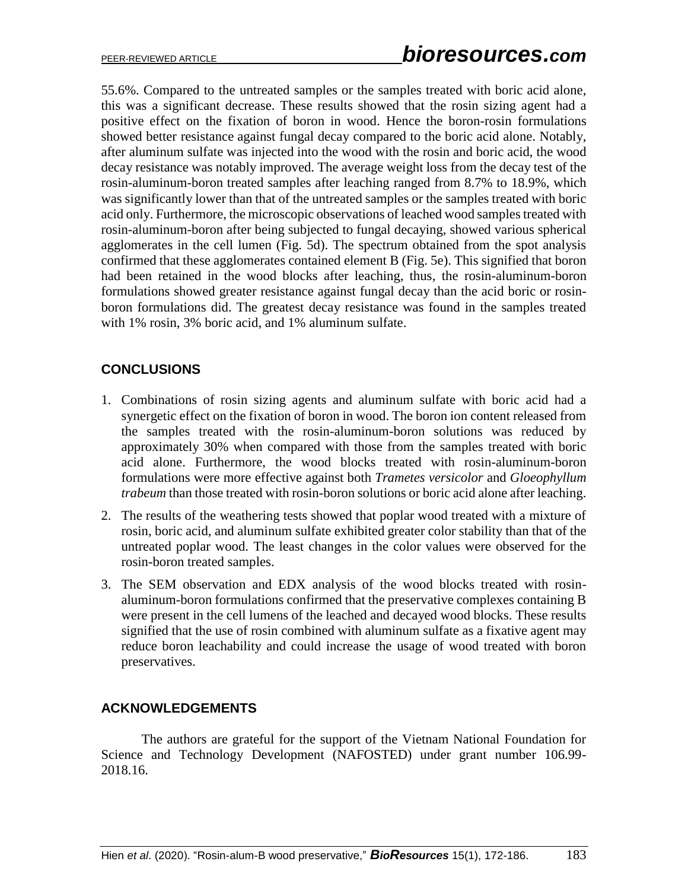55.6%. Compared to the untreated samples or the samples treated with boric acid alone, this was a significant decrease. These results showed that the rosin sizing agent had a positive effect on the fixation of boron in wood. Hence the boron-rosin formulations showed better resistance against fungal decay compared to the boric acid alone. Notably, after aluminum sulfate was injected into the wood with the rosin and boric acid, the wood decay resistance was notably improved. The average weight loss from the decay test of the rosin-aluminum-boron treated samples after leaching ranged from 8.7% to 18.9%, which was significantly lower than that of the untreated samples or the samples treated with boric acid only. Furthermore, the microscopic observations of leached wood samples treated with rosin-aluminum-boron after being subjected to fungal decaying, showed various spherical agglomerates in the cell lumen (Fig. 5d). The spectrum obtained from the spot analysis confirmed that these agglomerates contained element B (Fig. 5e). This signified that boron had been retained in the wood blocks after leaching, thus, the rosin-aluminum-boron formulations showed greater resistance against fungal decay than the acid boric or rosinboron formulations did. The greatest decay resistance was found in the samples treated with 1% rosin, 3% boric acid, and 1% aluminum sulfate.

# **CONCLUSIONS**

- 1. Combinations of rosin sizing agents and aluminum sulfate with boric acid had a synergetic effect on the fixation of boron in wood. The boron ion content released from the samples treated with the rosin-aluminum-boron solutions was reduced by approximately 30% when compared with those from the samples treated with boric acid alone. Furthermore, the wood blocks treated with rosin-aluminum-boron formulations were more effective against both *Trametes versicolor* and *Gloeophyllum trabeum* than those treated with rosin-boron solutions or boric acid alone after leaching.
- 2. The results of the weathering tests showed that poplar wood treated with a mixture of rosin, boric acid, and aluminum sulfate exhibited greater color stability than that of the untreated poplar wood. The least changes in the color values were observed for the rosin-boron treated samples.
- 3. The SEM observation and EDX analysis of the wood blocks treated with rosinaluminum-boron formulations confirmed that the preservative complexes containing B were present in the cell lumens of the leached and decayed wood blocks. These results signified that the use of rosin combined with aluminum sulfate as a fixative agent may reduce boron leachability and could increase the usage of wood treated with boron preservatives.

#### **ACKNOWLEDGEMENTS**

The authors are grateful for the support of the Vietnam National Foundation for Science and Technology Development (NAFOSTED) under grant number 106.99- 2018.16.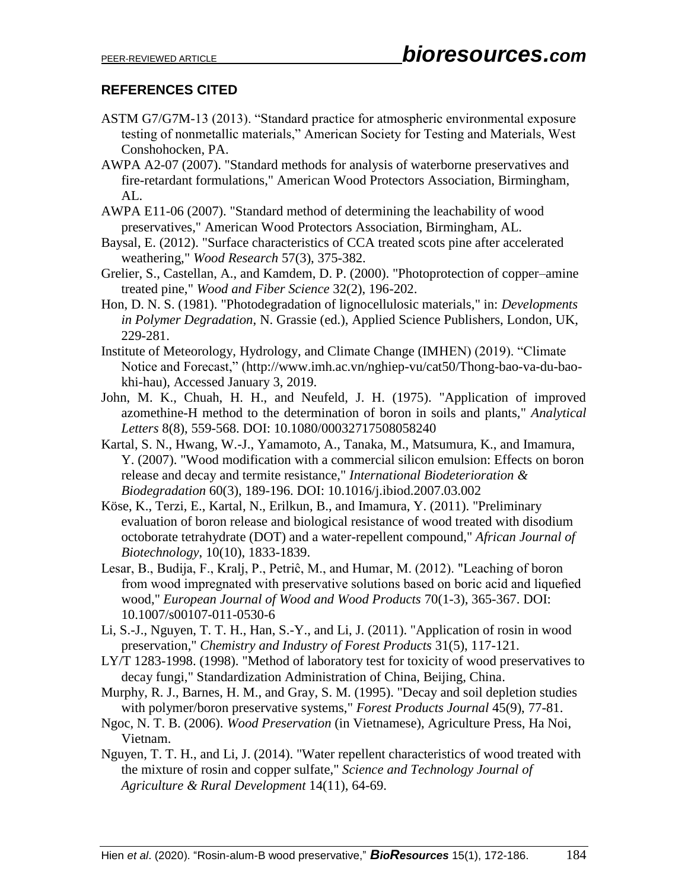# **REFERENCES CITED**

- ASTM G7/G7M-13 (2013). "Standard practice for atmospheric environmental exposure testing of nonmetallic materials," American Society for Testing and Materials, West Conshohocken, PA.
- AWPA A2-07 (2007). "Standard methods for analysis of waterborne preservatives and fire-retardant formulations," American Wood Protectors Association, Birmingham, AL.
- AWPA E11-06 (2007). "Standard method of determining the leachability of wood preservatives," American Wood Protectors Association, Birmingham, AL.
- Baysal, E. (2012). "Surface characteristics of CCA treated scots pine after accelerated weathering," *Wood Research* 57(3), 375-382.
- Grelier, S., Castellan, A., and Kamdem, D. P. (2000). "Photoprotection of copper–amine treated pine," *Wood and Fiber Science* 32(2), 196-202.
- Hon, D. N. S. (1981). "Photodegradation of lignocellulosic materials," in: *Developments in Polymer Degradation*, N. Grassie (ed.), Applied Science Publishers, London, UK, 229-281.
- Institute of Meteorology, Hydrology, and Climate Change (IMHEN) (2019). "Climate Notice and Forecast," (http://www.imh.ac.vn/nghiep-vu/cat50/Thong-bao-va-du-baokhi-hau), Accessed January 3, 2019.
- John, M. K., Chuah, H. H., and Neufeld, J. H. (1975). "Application of improved azomethine-H method to the determination of boron in soils and plants," *Analytical Letters* 8(8), 559-568. DOI: 10.1080/00032717508058240
- Kartal, S. N., Hwang, W.-J., Yamamoto, A., Tanaka, M., Matsumura, K., and Imamura, Y. (2007). "Wood modification with a commercial silicon emulsion: Effects on boron release and decay and termite resistance," *International Biodeterioration & Biodegradation* 60(3), 189-196. DOI: 10.1016/j.ibiod.2007.03.002
- Köse, K., Terzi, E., Kartal, N., Erilkun, B., and Imamura, Y. (2011). "Preliminary evaluation of boron release and biological resistance of wood treated with disodium octoborate tetrahydrate (DOT) and a water-repellent compound," *African Journal of Biotechnology*, 10(10), 1833-1839.
- Lesar, B., Budija, F., Kralj, P., Petriĉ, M., and Humar, M. (2012). "Leaching of boron from wood impregnated with preservative solutions based on boric acid and liquefied wood," *European Journal of Wood and Wood Products* 70(1-3), 365-367. DOI: 10.1007/s00107-011-0530-6
- Li, S.-J., Nguyen, T. T. H., Han, S.-Y., and Li, J. (2011). "Application of rosin in wood preservation," *Chemistry and Industry of Forest Products* 31(5), 117-121.
- LY/T 1283-1998. (1998). "Method of laboratory test for toxicity of wood preservatives to decay fungi," Standardization Administration of China, Beijing, China.
- Murphy, R. J., Barnes, H. M., and Gray, S. M. (1995). "Decay and soil depletion studies with polymer/boron preservative systems," *Forest Products Journal* 45(9), 77-81.
- Ngoc, N. T. B. (2006). *Wood Preservation* (in Vietnamese), Agriculture Press, Ha Noi, Vietnam.
- Nguyen, T. T. H., and Li, J. (2014). "Water repellent characteristics of wood treated with the mixture of rosin and copper sulfate," *Science and Technology Journal of Agriculture & Rural Development* 14(11), 64-69.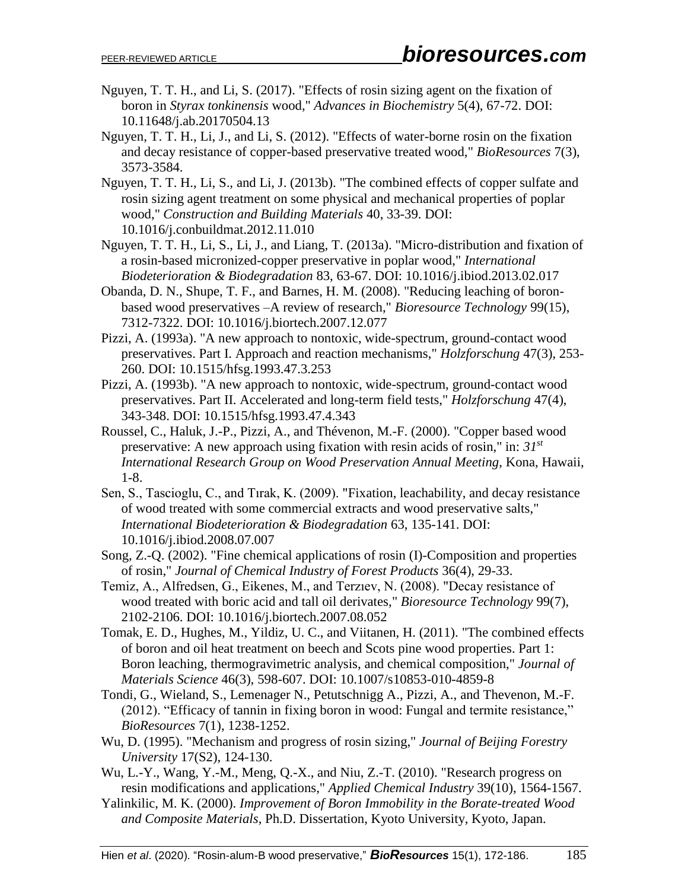- Nguyen, T. T. H., and Li, S. (2017). "Effects of rosin sizing agent on the fixation of boron in *Styrax tonkinensis* wood," *Advances in Biochemistry* 5(4), 67-72. DOI: 10.11648/j.ab.20170504.13
- Nguyen, T. T. H., Li, J., and Li, S. (2012). "Effects of water-borne rosin on the fixation and decay resistance of copper-based preservative treated wood," *BioResources* 7(3), 3573-3584.
- Nguyen, T. T. H., Li, S., and Li, J. (2013b). "The combined effects of copper sulfate and rosin sizing agent treatment on some physical and mechanical properties of poplar wood," *Construction and Building Materials* 40, 33-39. DOI: 10.1016/j.conbuildmat.2012.11.010
- Nguyen, T. T. H., Li, S., Li, J., and Liang, T. (2013a). "Micro-distribution and fixation of a rosin-based micronized-copper preservative in poplar wood," *International Biodeterioration & Biodegradation* 83, 63-67. DOI: 10.1016/j.ibiod.2013.02.017
- Obanda, D. N., Shupe, T. F., and Barnes, H. M. (2008). "Reducing leaching of boronbased wood preservatives –A review of research," *Bioresource Technology* 99(15), 7312-7322. DOI: 10.1016/j.biortech.2007.12.077
- Pizzi, A. (1993a). "A new approach to nontoxic, wide-spectrum, ground-contact wood preservatives. Part I. Approach and reaction mechanisms," *Holzforschung* 47(3), 253- 260. DOI: 10.1515/hfsg.1993.47.3.253
- Pizzi, A. (1993b). "A new approach to nontoxic, wide-spectrum, ground-contact wood preservatives. Part II. Accelerated and long-term field tests," *Holzforschung* 47(4), 343-348. DOI: 10.1515/hfsg.1993.47.4.343
- Roussel, C., Haluk, J.-P., Pizzi, A., and Thévenon, M.-F. (2000). "Copper based wood preservative: A new approach using fixation with resin acids of rosin," in: *31st International Research Group on Wood Preservation Annual Meeting*, Kona, Hawaii, 1-8.
- Sen, S., Tascioglu, C., and Tırak, K. (2009). "Fixation, leachability, and decay resistance of wood treated with some commercial extracts and wood preservative salts," *International Biodeterioration & Biodegradation* 63, 135-141. DOI: 10.1016/j.ibiod.2008.07.007
- Song, Z.-Q. (2002). "Fine chemical applications of rosin (I)-Composition and properties of rosin," *Journal of Chemical Industry of Forest Products* 36(4), 29-33.
- Temiz, A., Alfredsen, G., Eikenes, M., and Terzıev, N. (2008). "Decay resistance of wood treated with boric acid and tall oil derivates," *Bioresource Technology* 99(7), 2102-2106. DOI: 10.1016/j.biortech.2007.08.052
- Tomak, E. D., Hughes, M., Yildiz, U. C., and Viitanen, H. (2011). "The combined effects of boron and oil heat treatment on beech and Scots pine wood properties. Part 1: Boron leaching, thermogravimetric analysis, and chemical composition," *Journal of Materials Science* 46(3), 598-607. DOI: 10.1007/s10853-010-4859-8
- Tondi, G., Wieland, S., Lemenager N., Petutschnigg A., Pizzi, A., and Thevenon, M.-F. (2012). ["Efficacy of tannin in fixing boron in](http://ojs.cnr.ncsu.edu/index.php/BioRes/article/view/2456) wood: Fungal and termite resistance," *BioResources* 7(1), 1238-1252.
- Wu, D. (1995). "Mechanism and progress of rosin sizing," *Journal of Beijing Forestry University* 17(S2), 124-130.
- Wu, L.-Y., Wang, Y.-M., Meng, Q.-X., and Niu, Z.-T. (2010). "Research progress on resin modifications and applications," *Applied Chemical Industry* 39(10), 1564-1567.
- Yalinkilic, M. K. (2000). *Improvement of Boron Immobility in the Borate-treated Wood and Composite Materials*, Ph.D. Dissertation, Kyoto University, Kyoto, Japan.